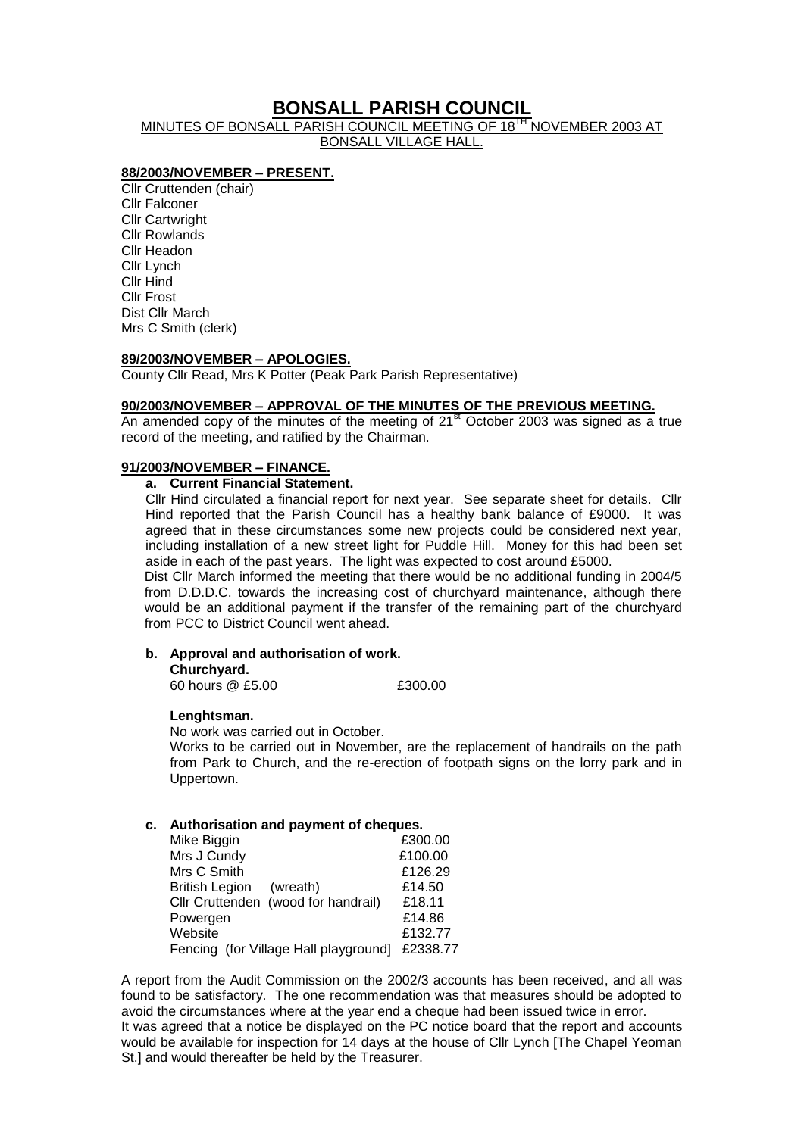# **BONSALL PARISH COUNCIL**

MINUTES OF BONSALL PARISH COUNCIL MEETING OF 18<sup>TH</sup> NOVEMBER 2003 AT BONSALL VILLAGE HALL.

### **88/2003/NOVEMBER – PRESENT.**

Cllr Cruttenden (chair) Cllr Falconer Cllr Cartwright Cllr Rowlands Cllr Headon Cllr Lynch Cllr Hind Cllr Frost Dist Cllr March Mrs C Smith (clerk)

#### **89/2003/NOVEMBER – APOLOGIES.**

County Cllr Read, Mrs K Potter (Peak Park Parish Representative)

#### **90/2003/NOVEMBER – APPROVAL OF THE MINUTES OF THE PREVIOUS MEETING.**

An amended copy of the minutes of the meeting of  $21<sup>st</sup>$  October 2003 was signed as a true record of the meeting, and ratified by the Chairman.

#### **91/2003/NOVEMBER – FINANCE.**

### **a. Current Financial Statement.**

Cllr Hind circulated a financial report for next year. See separate sheet for details. Cllr Hind reported that the Parish Council has a healthy bank balance of £9000. It was agreed that in these circumstances some new projects could be considered next year, including installation of a new street light for Puddle Hill. Money for this had been set aside in each of the past years. The light was expected to cost around £5000.

Dist Cllr March informed the meeting that there would be no additional funding in 2004/5 from D.D.D.C. towards the increasing cost of churchyard maintenance, although there would be an additional payment if the transfer of the remaining part of the churchyard from PCC to District Council went ahead.

#### **b. Approval and authorisation of work.**

**Churchyard.**

60 hours @ £5.00 £300.00

#### **Lenghtsman.**

No work was carried out in October.

Works to be carried out in November, are the replacement of handrails on the path from Park to Church, and the re-erection of footpath signs on the lorry park and in Uppertown.

#### **c. Authorisation and payment of cheques.**

| Mike Biggin                           | £300.00  |
|---------------------------------------|----------|
| Mrs J Cundy                           | £100.00  |
| Mrs C Smith                           | £126.29  |
| <b>British Legion</b><br>(wreath)     | £14.50   |
| Cllr Cruttenden (wood for handrail)   | £18.11   |
| Powergen                              | £14.86   |
| Website                               | £132.77  |
| Fencing (for Village Hall playground] | £2338.77 |

A report from the Audit Commission on the 2002/3 accounts has been received, and all was found to be satisfactory. The one recommendation was that measures should be adopted to avoid the circumstances where at the year end a cheque had been issued twice in error. It was agreed that a notice be displayed on the PC notice board that the report and accounts would be available for inspection for 14 days at the house of Cllr Lynch [The Chapel Yeoman St.] and would thereafter be held by the Treasurer.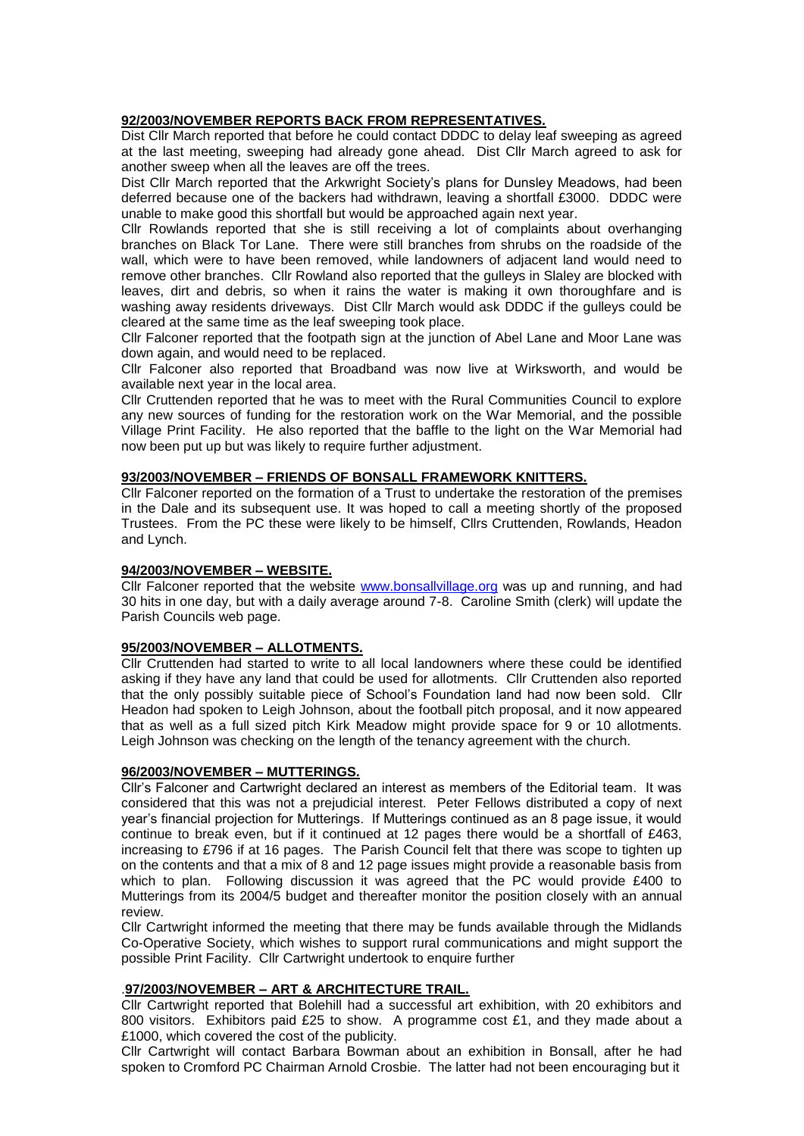### **92/2003/NOVEMBER REPORTS BACK FROM REPRESENTATIVES.**

Dist Cllr March reported that before he could contact DDDC to delay leaf sweeping as agreed at the last meeting, sweeping had already gone ahead. Dist Cllr March agreed to ask for another sweep when all the leaves are off the trees.

Dist Cllr March reported that the Arkwright Society's plans for Dunsley Meadows, had been deferred because one of the backers had withdrawn, leaving a shortfall £3000. DDDC were unable to make good this shortfall but would be approached again next year.

Cllr Rowlands reported that she is still receiving a lot of complaints about overhanging branches on Black Tor Lane. There were still branches from shrubs on the roadside of the wall, which were to have been removed, while landowners of adjacent land would need to remove other branches. Cllr Rowland also reported that the gulleys in Slaley are blocked with leaves, dirt and debris, so when it rains the water is making it own thoroughfare and is washing away residents driveways. Dist Cllr March would ask DDDC if the gulleys could be cleared at the same time as the leaf sweeping took place.

Cllr Falconer reported that the footpath sign at the junction of Abel Lane and Moor Lane was down again, and would need to be replaced.

Cllr Falconer also reported that Broadband was now live at Wirksworth, and would be available next year in the local area.

Cllr Cruttenden reported that he was to meet with the Rural Communities Council to explore any new sources of funding for the restoration work on the War Memorial, and the possible Village Print Facility. He also reported that the baffle to the light on the War Memorial had now been put up but was likely to require further adjustment.

### **93/2003/NOVEMBER – FRIENDS OF BONSALL FRAMEWORK KNITTERS.**

Cllr Falconer reported on the formation of a Trust to undertake the restoration of the premises in the Dale and its subsequent use. It was hoped to call a meeting shortly of the proposed Trustees. From the PC these were likely to be himself, Cllrs Cruttenden, Rowlands, Headon and Lynch.

### **94/2003/NOVEMBER – WEBSITE.**

Cllr Falconer reported that the website [www.bonsallvillage.org](http://www.bonsallvillage.org/) was up and running, and had 30 hits in one day, but with a daily average around 7-8. Caroline Smith (clerk) will update the Parish Councils web page.

#### **95/2003/NOVEMBER – ALLOTMENTS.**

Cllr Cruttenden had started to write to all local landowners where these could be identified asking if they have any land that could be used for allotments. Cllr Cruttenden also reported that the only possibly suitable piece of School's Foundation land had now been sold. Cllr Headon had spoken to Leigh Johnson, about the football pitch proposal, and it now appeared that as well as a full sized pitch Kirk Meadow might provide space for 9 or 10 allotments. Leigh Johnson was checking on the length of the tenancy agreement with the church.

#### **96/2003/NOVEMBER – MUTTERINGS.**

Cllr's Falconer and Cartwright declared an interest as members of the Editorial team. It was considered that this was not a prejudicial interest. Peter Fellows distributed a copy of next year's financial projection for Mutterings. If Mutterings continued as an 8 page issue, it would continue to break even, but if it continued at 12 pages there would be a shortfall of £463, increasing to £796 if at 16 pages. The Parish Council felt that there was scope to tighten up on the contents and that a mix of 8 and 12 page issues might provide a reasonable basis from which to plan. Following discussion it was agreed that the PC would provide £400 to Mutterings from its 2004/5 budget and thereafter monitor the position closely with an annual review.

Cllr Cartwright informed the meeting that there may be funds available through the Midlands Co-Operative Society, which wishes to support rural communications and might support the possible Print Facility. Cllr Cartwright undertook to enquire further

#### .**97/2003/NOVEMBER – ART & ARCHITECTURE TRAIL.**

Cllr Cartwright reported that Bolehill had a successful art exhibition, with 20 exhibitors and 800 visitors. Exhibitors paid £25 to show. A programme cost £1, and they made about a £1000, which covered the cost of the publicity.

Cllr Cartwright will contact Barbara Bowman about an exhibition in Bonsall, after he had spoken to Cromford PC Chairman Arnold Crosbie. The latter had not been encouraging but it